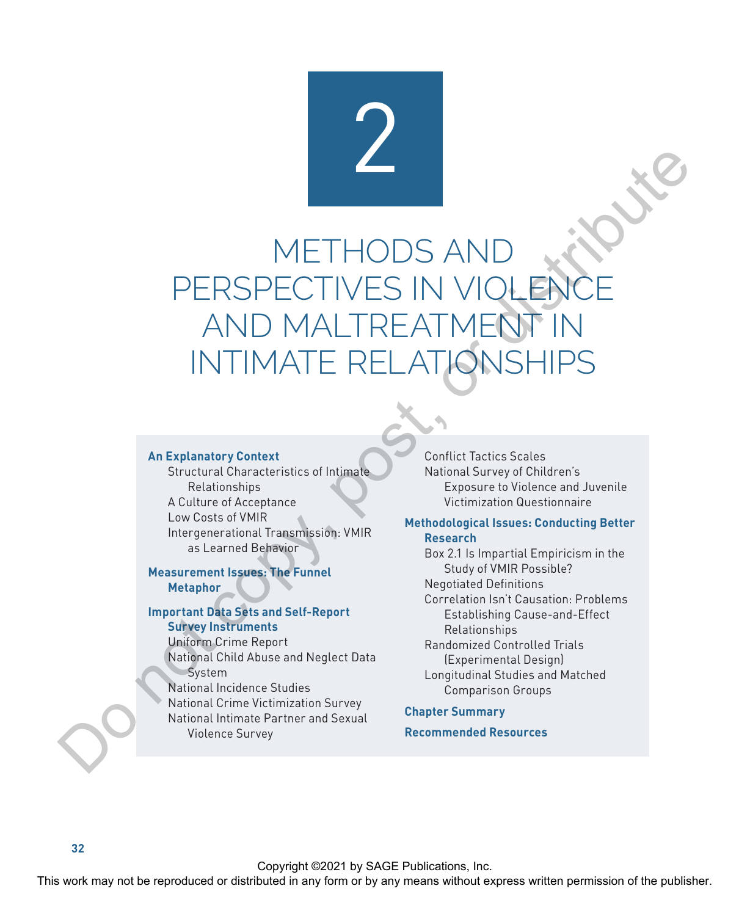

# METHODS AND PERSPECTIVES IN VI AND MALTREATME INTIMATE RELATIONSH The Correct model of the repression of the repression of the publisher and the publisher and the publisher and the publisher and the publisher and the publisher and the publisher and the publisher and the publisher and the

#### **An Explanatory Context**

Structural Characteristics of Intimate Relationships A Culture of Acceptance Low Costs of VMIR Intergenerational Transmission: VMIR as Learned Behavior

#### **Measurement Issues: The Funnel Metaphor**

#### **Important Data Sets and Self-Report Survey Instruments**

Uniform Crime Report National Child Abuse and Neglect Data **System** National Incidence Studies National Crime Victimization Survey National Intimate Partner and Sexual Violence Survey

Conflict Tactics Scales National Survey of Children's Exposure to Violence and Juvenile Victimization Questionnaire

#### **Methodological Issues: Conducting Better Research**

Box 2.1 Is Impartial Empiricism in the Study of VMIR Possible? Negotiated Definitions Correlation Isn't Causation: Problems Establishing Cause-and-Effect Relationships Randomized Controlled Trials (Experimental Design)

Longitudinal Studies and Matched Comparison Groups

#### **Chapter Summary**

#### **Recommended Resources**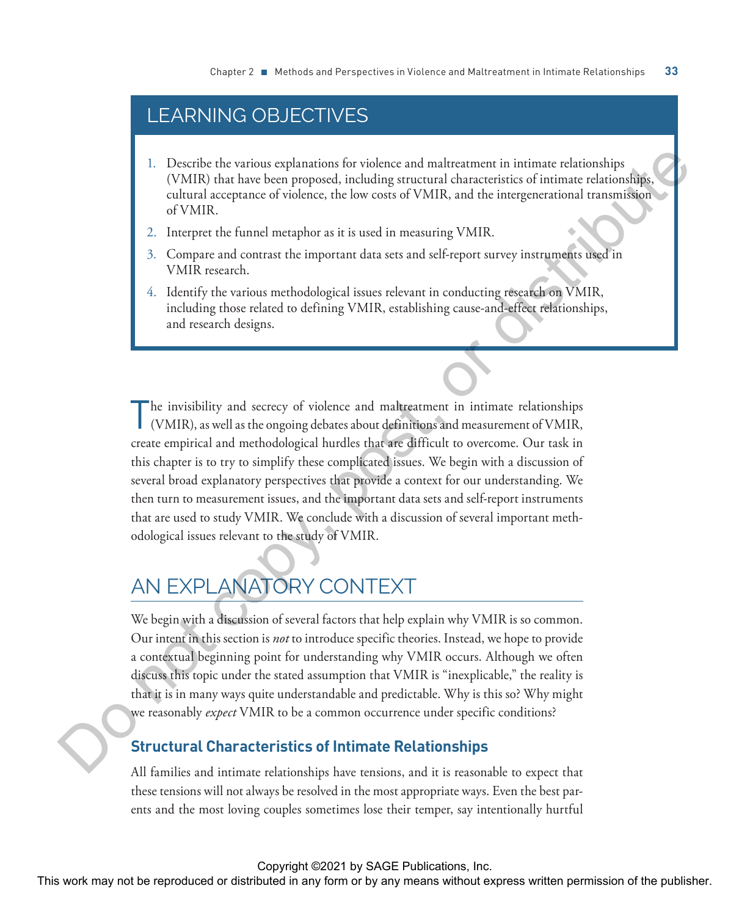# LEARNING OBJECTIVES

- 1. Describe the various explanations for violence and maltreatment in intimate relationships (VMIR) that have been proposed, including structural characteristics of intimate relationships, cultural acceptance of violence, the low costs of VMIR, and the intergenerational transmission of VMIR.
- 2. Interpret the funnel metaphor as it is used in measuring VMIR.
- 3. Compare and contrast the important data sets and self-report survey instruments used in VMIR research.
- 4. Identify the various methodological issues relevant in conducting research on VMIR, including those related to defining VMIR, establishing cause-and-effect relationships, and research designs.

The invisibility and secrecy of violence and maltreatment in intimate relationships (VMIR), as well as the ongoing debates about definitions and measurement of VMIR, create empirical and methodological hurdles that are difficult to overcome. Our task in this chapter is to try to simplify these complicated issues. We begin with a discussion of several broad explanatory perspectives that provide a context for our understanding. We then turn to measurement issues, and the important data sets and self-report instruments that are used to study VMIR. We conclude with a discussion of several important methodological issues relevant to the study of VMIR. The value of the rest methods of the representation of the rest may not be reproduced or the reproduced or distributed in any form or by any means with the sum of the rest of the rest or by any means of the rest or betwee

# AN EXPLANATORY CONTEXT

We begin with a discussion of several factors that help explain why VMIR is so common. Our intent in this section is *not* to introduce specific theories. Instead, we hope to provide a contextual beginning point for understanding why VMIR occurs. Although we often discuss this topic under the stated assumption that VMIR is "inexplicable," the reality is that it is in many ways quite understandable and predictable. Why is this so? Why might we reasonably *expect* VMIR to be a common occurrence under specific conditions?

## **Structural Characteristics of Intimate Relationships**

All families and intimate relationships have tensions, and it is reasonable to expect that these tensions will not always be resolved in the most appropriate ways. Even the best parents and the most loving couples sometimes lose their temper, say intentionally hurtful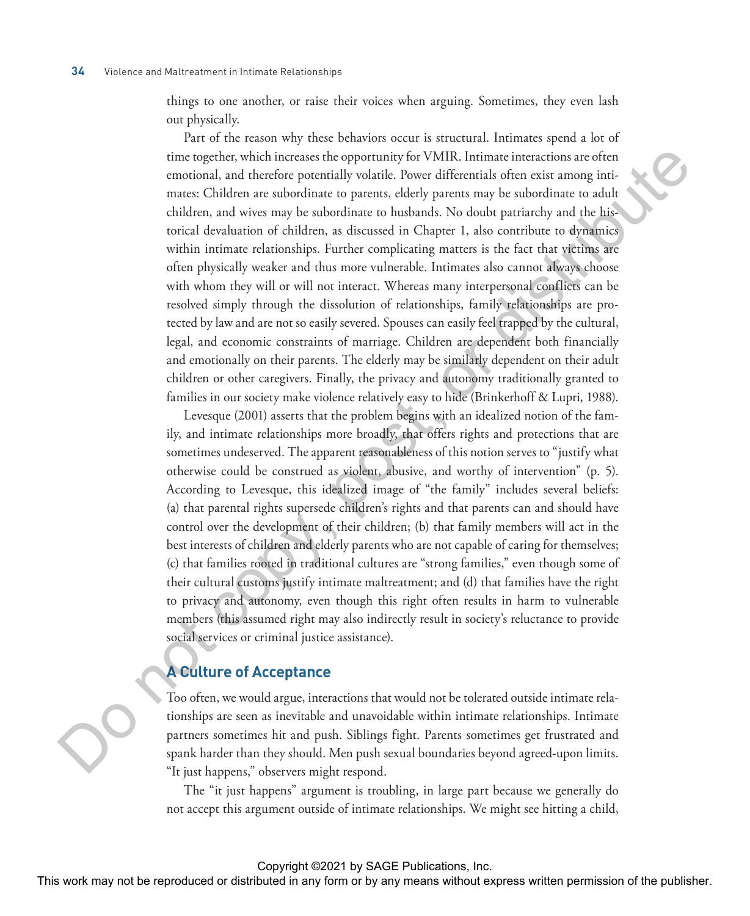things to one another, or raise their voices when arguing. Sometimes, they even lash out physically.

Part of the reason why these behaviors occur is structural. Intimates spend a lot of time together, which increases the opportunity for VMIR. Intimate interactions are often emotional, and therefore potentially volatile. Power differentials often exist among intimates: Children are subordinate to parents, elderly parents may be subordinate to adult children, and wives may be subordinate to husbands. No doubt patriarchy and the historical devaluation of children, as discussed in Chapter 1, also contribute to dynamics within intimate relationships. Further complicating matters is the fact that victims are often physically weaker and thus more vulnerable. Intimates also cannot always choose with whom they will or will not interact. Whereas many interpersonal conflicts can be resolved simply through the dissolution of relationships, family relationships are protected by law and are not so easily severed. Spouses can easily feel trapped by the cultural, legal, and economic constraints of marriage. Children are dependent both financially and emotionally on their parents. The elderly may be similarly dependent on their adult children or other caregivers. Finally, the privacy and autonomy traditionally granted to families in our society make violence relatively easy to hide (Brinkerhoff & Lupri, 1988). The results of the results of the results of the results of the results and controlled the results and the results and the results and the results of the results of the results of the results of the publisher. The results

Levesque (2001) asserts that the problem begins with an idealized notion of the family, and intimate relationships more broadly, that offers rights and protections that are sometimes undeserved. The apparent reasonableness of this notion serves to "justify what otherwise could be construed as violent, abusive, and worthy of intervention" (p. 5). According to Levesque, this idealized image of "the family" includes several beliefs: (a) that parental rights supersede children's rights and that parents can and should have control over the development of their children; (b) that family members will act in the best interests of children and elderly parents who are not capable of caring for themselves; (c) that families rooted in traditional cultures are "strong families," even though some of their cultural customs justify intimate maltreatment; and (d) that families have the right to privacy and autonomy, even though this right often results in harm to vulnerable members (this assumed right may also indirectly result in society's reluctance to provide social services or criminal justice assistance).

## **A Culture of Acceptance**

Too often, we would argue, interactions that would not be tolerated outside intimate relationships are seen as inevitable and unavoidable within intimate relationships. Intimate partners sometimes hit and push. Siblings fight. Parents sometimes get frustrated and spank harder than they should. Men push sexual boundaries beyond agreed-upon limits. "It just happens," observers might respond.

The "it just happens" argument is troubling, in large part because we generally do not accept this argument outside of intimate relationships. We might see hitting a child,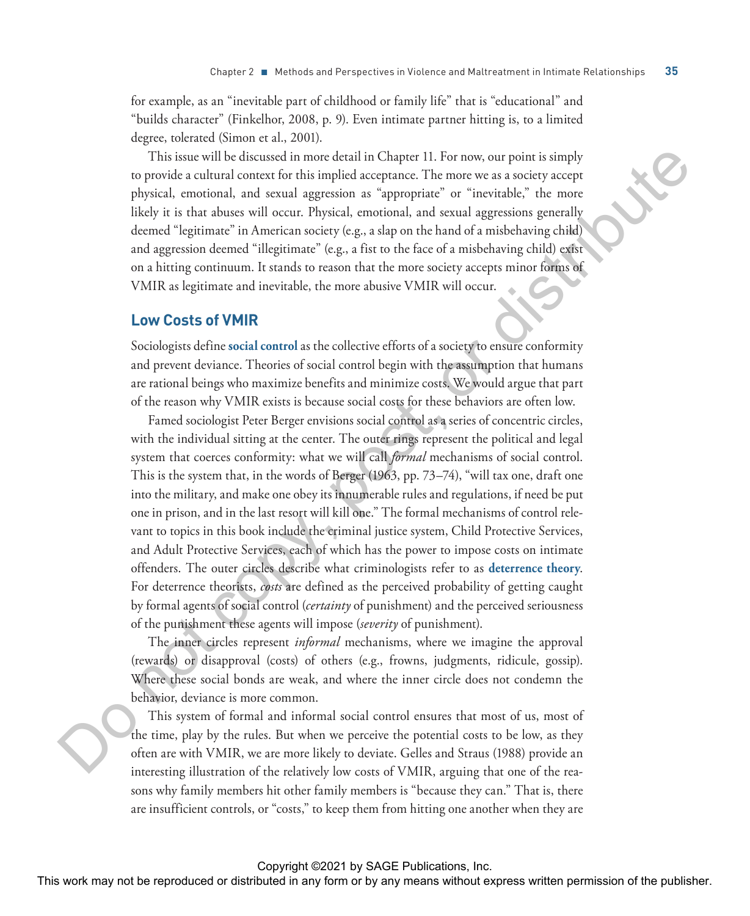for example, as an "inevitable part of childhood or family life" that is "educational" and "builds character" (Finkelhor, 2008, p. 9). Even intimate partner hitting is, to a limited degree, tolerated (Simon et al., 2001).

This issue will be discussed in more detail in Chapter 11. For now, our point is simply to provide a cultural context for this implied acceptance. The more we as a society accept physical, emotional, and sexual aggression as "appropriate" or "inevitable," the more likely it is that abuses will occur. Physical, emotional, and sexual aggressions generally deemed "legitimate" in American society (e.g., a slap on the hand of a misbehaving child) and aggression deemed "illegitimate" (e.g., a fist to the face of a misbehaving child) exist on a hitting continuum. It stands to reason that the more society accepts minor forms of VMIR as legitimate and inevitable, the more abusive VMIR will occur.

#### **Low Costs of VMIR**

Sociologists define **social control** as the collective efforts of a society to ensure conformity and prevent deviance. Theories of social control begin with the assumption that humans are rational beings who maximize benefits and minimize costs. We would argue that part of the reason why VMIR exists is because social costs for these behaviors are often low.

Famed sociologist Peter Berger envisions social control as a series of concentric circles, with the individual sitting at the center. The outer rings represent the political and legal system that coerces conformity: what we will call *formal* mechanisms of social control. This is the system that, in the words of Berger (1963, pp. 73–74), "will tax one, draft one into the military, and make one obey its innumerable rules and regulations, if need be put one in prison, and in the last resort will kill one." The formal mechanisms of control relevant to topics in this book include the criminal justice system, Child Protective Services, and Adult Protective Services, each of which has the power to impose costs on intimate offenders. The outer circles describe what criminologists refer to as **deterrence theory**. For deterrence theorists, *costs* are defined as the perceived probability of getting caught by formal agents of social control (*certainty* of punishment) and the perceived seriousness of the punishment these agents will impose (*severity* of punishment). This to the relations of the reproduced or the result of Channel II. Chorons can provide the results were played in any form or by any form or by any form or by any form or by any form or by any form or by any form or by

The inner circles represent *informal* mechanisms, where we imagine the approval (rewards) or disapproval (costs) of others (e.g., frowns, judgments, ridicule, gossip). Where these social bonds are weak, and where the inner circle does not condemn the behavior, deviance is more common.

This system of formal and informal social control ensures that most of us, most of the time, play by the rules. But when we perceive the potential costs to be low, as they often are with VMIR, we are more likely to deviate. Gelles and Straus (1988) provide an interesting illustration of the relatively low costs of VMIR, arguing that one of the reasons why family members hit other family members is "because they can." That is, there are insufficient controls, or "costs," to keep them from hitting one another when they are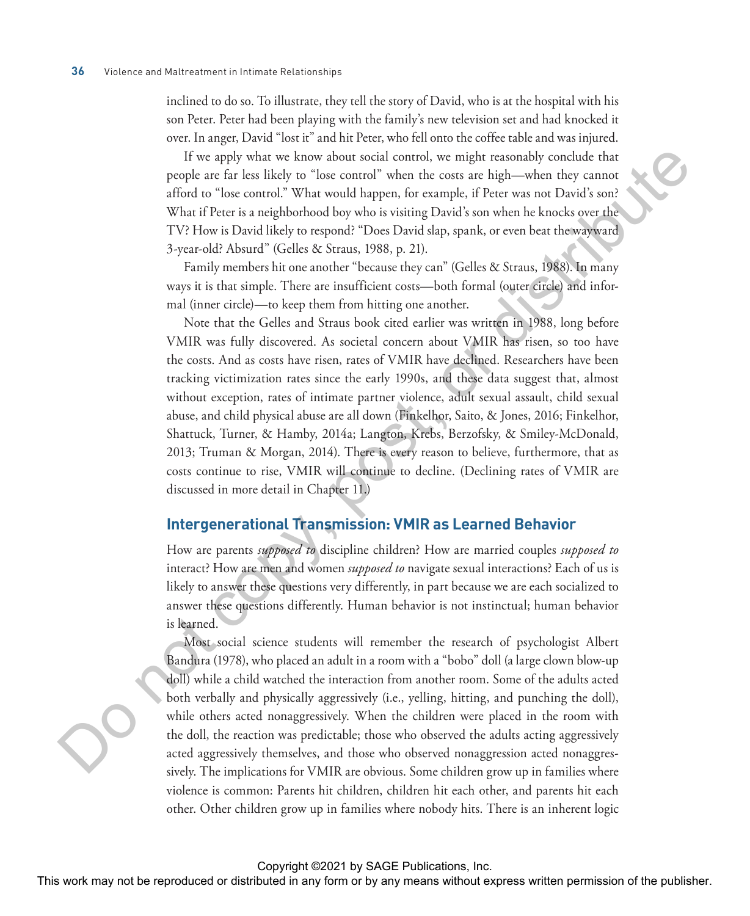inclined to do so. To illustrate, they tell the story of David, who is at the hospital with his son Peter. Peter had been playing with the family's new television set and had knocked it over. In anger, David "lost it" and hit Peter, who fell onto the coffee table and was injured.

If we apply what we know about social control, we might reasonably conclude that people are far less likely to "lose control" when the costs are high—when they cannot afford to "lose control." What would happen, for example, if Peter was not David's son? What if Peter is a neighborhood boy who is visiting David's son when he knocks over the TV? How is David likely to respond? "Does David slap, spank, or even beat the wayward 3-year-old? Absurd" (Gelles & Straus, 1988, p. 21).

Family members hit one another "because they can" (Gelles & Straus, 1988). In many ways it is that simple. There are insufficient costs—both formal (outer circle) and informal (inner circle)—to keep them from hitting one another.

Note that the Gelles and Straus book cited earlier was written in 1988, long before VMIR was fully discovered. As societal concern about VMIR has risen, so too have the costs. And as costs have risen, rates of VMIR have declined. Researchers have been tracking victimization rates since the early 1990s, and these data suggest that, almost without exception, rates of intimate partner violence, adult sexual assault, child sexual abuse, and child physical abuse are all down (Finkelhor, Saito, & Jones, 2016; Finkelhor, Shattuck, Turner, & Hamby, 2014a; Langton, Krebs, Berzofsky, & Smiley-McDonald, 2013; Truman & Morgan, 2014). There is every reason to believe, furthermore, that as costs continue to rise, VMIR will continue to decline. (Declining rates of VMIR are discussed in more detail in Chapter 11.) The argeles work we have about what mission is the reproduced or distributed in any method or the reproduced or the publishers. The canonical with the publishers were also the publisher with the reproduced or the publishe

## **Intergenerational Transmission: VMIR as Learned Behavior**

How are parents *supposed to* discipline children? How are married couples *supposed to* interact? How are men and women *supposed to* navigate sexual interactions? Each of us is likely to answer these questions very differently, in part because we are each socialized to answer these questions differently. Human behavior is not instinctual; human behavior is learned.

Most social science students will remember the research of psychologist Albert Bandura (1978), who placed an adult in a room with a "bobo" doll (a large clown blow-up doll) while a child watched the interaction from another room. Some of the adults acted both verbally and physically aggressively (i.e., yelling, hitting, and punching the doll), while others acted nonaggressively. When the children were placed in the room with the doll, the reaction was predictable; those who observed the adults acting aggressively acted aggressively themselves, and those who observed nonaggression acted nonaggressively. The implications for VMIR are obvious. Some children grow up in families where violence is common: Parents hit children, children hit each other, and parents hit each other. Other children grow up in families where nobody hits. There is an inherent logic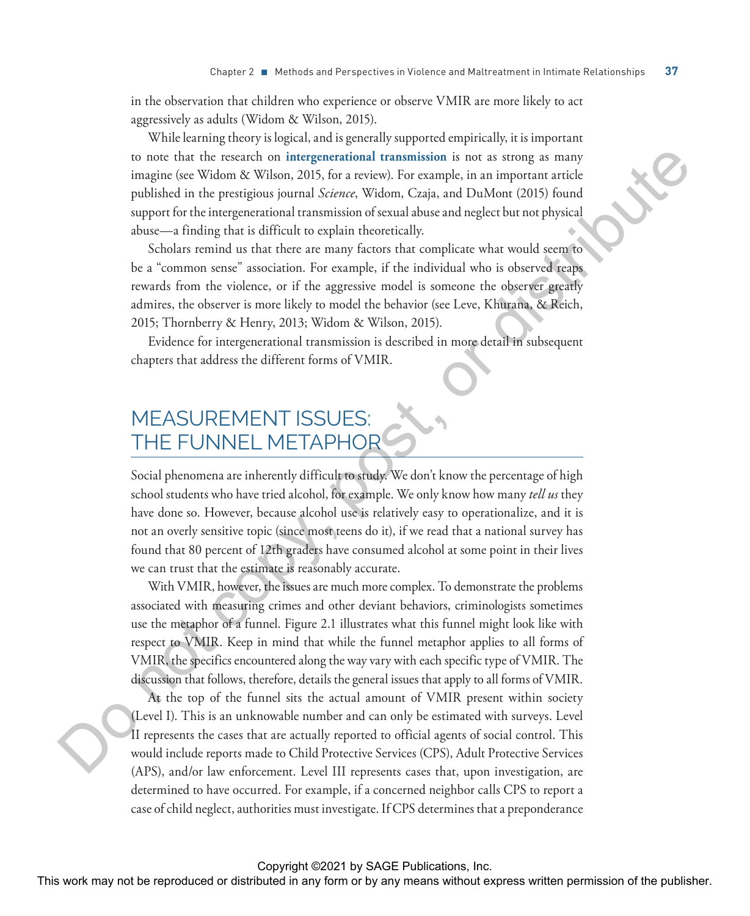in the observation that children who experience or observe VMIR are more likely to act aggressively as adults (Widom & Wilson, 2015).

While learning theory is logical, and is generally supported empirically, it is important to note that the research on **intergenerational transmission** is not as strong as many imagine (see Widom & Wilson, 2015, for a review). For example, in an important article published in the prestigious journal *Science*, Widom, Czaja, and DuMont (2015) found support for the intergenerational transmission of sexual abuse and neglect but not physical abuse—a finding that is difficult to explain theoretically.

Scholars remind us that there are many factors that complicate what would seem to be a "common sense" association. For example, if the individual who is observed reaps rewards from the violence, or if the aggressive model is someone the observer greatly admires, the observer is more likely to model the behavior (see Leve, Khurana, & Reich, 2015; Thornberry & Henry, 2013; Widom & Wilson, 2015).

Evidence for intergenerational transmission is described in more detail in subsequent chapters that address the different forms of VMIR.

# MEASUREMENT ISSUES: THE FUNNEL METAPHOR

Social phenomena are inherently difficult to study. We don't know the percentage of high school students who have tried alcohol, for example. We only know how many *tell us* they have done so. However, because alcohol use is relatively easy to operationalize, and it is not an overly sensitive topic (since most teens do it), if we read that a national survey has found that 80 percent of 12th graders have consumed alcohol at some point in their lives we can trust that the estimate is reasonably accurate.

With VMIR, however, the issues are much more complex. To demonstrate the problems associated with measuring crimes and other deviant behaviors, criminologists sometimes use the metaphor of a funnel. Figure 2.1 illustrates what this funnel might look like with respect to VMIR. Keep in mind that while the funnel metaphor applies to all forms of VMIR, the specifics encountered along the way vary with each specific type of VMIR. The discussion that follows, therefore, details the general issues that apply to all forms of VMIR.

At the top of the funnel sits the actual amount of VMIR present within society (Level I). This is an unknowable number and can only be estimated with surveys. Level II represents the cases that are actually reported to official agents of social control. This would include reports made to Child Protective Services (CPS), Adult Protective Services (APS), and/or law enforcement. Level III represents cases that, upon investigation, are determined to have occurred. For example, if a concerned neighbor calls CPS to report a case of child neglect, authorities must investigate. If CPS determines that a preponderance The most may not be research or distributed in the research in any figure and the results of the results with the publisher angular and the publisher angular state. This may not be represented in a mean permission of the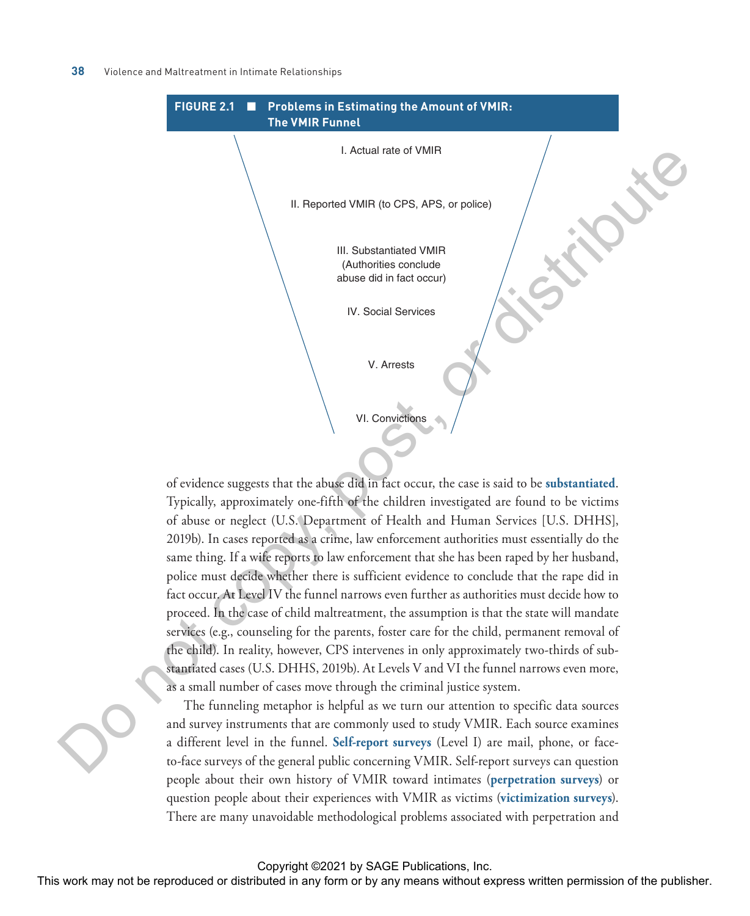

of evidence suggests that the abuse did in fact occur, the case is said to be **substantiated**. Typically, approximately one-fifth of the children investigated are found to be victims of abuse or neglect (U.S. Department of Health and Human Services [U.S. DHHS], 2019b). In cases reported as a crime, law enforcement authorities must essentially do the same thing. If a wife reports to law enforcement that she has been raped by her husband, police must decide whether there is sufficient evidence to conclude that the rape did in fact occur. At Level IV the funnel narrows even further as authorities must decide how to proceed. In the case of child maltreatment, the assumption is that the state will mandate services (e.g., counseling for the parents, foster care for the child, permanent removal of the child). In reality, however, CPS intervenes in only approximately two-thirds of substantiated cases (U.S. DHHS, 2019b). At Levels V and VI the funnel narrows even more, as a small number of cases move through the criminal justice system.

The funneling metaphor is helpful as we turn our attention to specific data sources and survey instruments that are commonly used to study VMIR. Each source examines a different level in the funnel. **Self-report surveys** (Level I) are mail, phone, or faceto-face surveys of the general public concerning VMIR. Self-report surveys can question people about their own history of VMIR toward intimates (**perpetration surveys**) or question people about their experiences with VMIR as victims (**victimization surveys**). There are many unavoidable methodological problems associated with perpetration and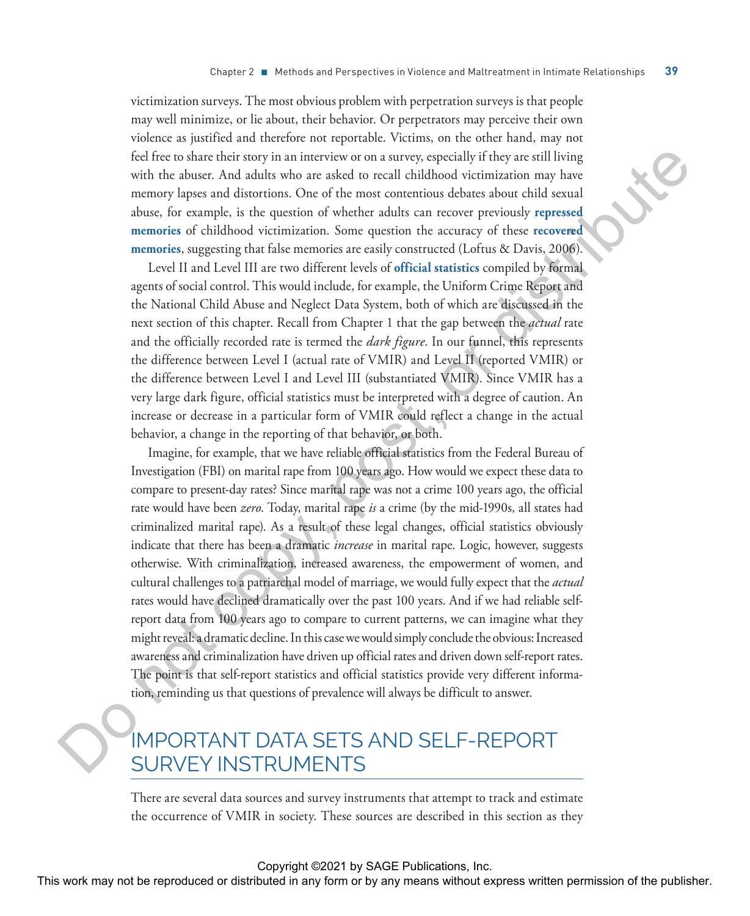victimization surveys. The most obvious problem with perpetration surveys is that people may well minimize, or lie about, their behavior. Or perpetrators may perceive their own violence as justified and therefore not reportable. Victims, on the other hand, may not feel free to share their story in an interview or on a survey, especially if they are still living with the abuser. And adults who are asked to recall childhood victimization may have memory lapses and distortions. One of the most contentious debates about child sexual abuse, for example, is the question of whether adults can recover previously **repressed memories** of childhood victimization. Some question the accuracy of these **recovered memories**, suggesting that false memories are easily constructed (Loftus & Davis, 2006).

Level II and Level III are two different levels of **official statistics** compiled by formal agents of social control. This would include, for example, the Uniform Crime Report and the National Child Abuse and Neglect Data System, both of which are discussed in the next section of this chapter. Recall from Chapter 1 that the gap between the *actual* rate and the officially recorded rate is termed the *dark figure*. In our funnel, this represents the difference between Level I (actual rate of VMIR) and Level II (reported VMIR) or the difference between Level I and Level III (substantiated VMIR). Since VMIR has a very large dark figure, official statistics must be interpreted with a degree of caution. An increase or decrease in a particular form of VMIR could reflect a change in the actual behavior, a change in the reporting of that behavior, or both.

Imagine, for example, that we have reliable official statistics from the Federal Bureau of Investigation (FBI) on marital rape from 100 years ago. How would we expect these data to compare to present-day rates? Since marital rape was not a crime 100 years ago, the official rate would have been *zero*. Today, marital rape *is* a crime (by the mid-1990s, all states had criminalized marital rape). As a result of these legal changes, official statistics obviously indicate that there has been a dramatic *increase* in marital rape. Logic, however, suggests otherwise. With criminalization, increased awareness, the empowerment of women, and cultural challenges to a patriarchal model of marriage, we would fully expect that the *actual* rates would have declined dramatically over the past 100 years. And if we had reliable selfreport data from 100 years ago to compare to current patterns, we can imagine what they might reveal: a dramatic decline. In this case we would simply conclude the obvious: Increased awareness and criminalization have driven up official rates and driven down self-report rates. The point is that self-report statistics and official statistics provide very different information, reminding us that questions of prevalence will always be difficult to answer. For free observations with the reproduced or an any expression of the results of the results with the results with the second or the results of the results with the second or the results of the results with the second or

# IMPORTANT DATA SETS AND SELF-REPORT SURVEY INSTRUMENTS

There are several data sources and survey instruments that attempt to track and estimate the occurrence of VMIR in society. These sources are described in this section as they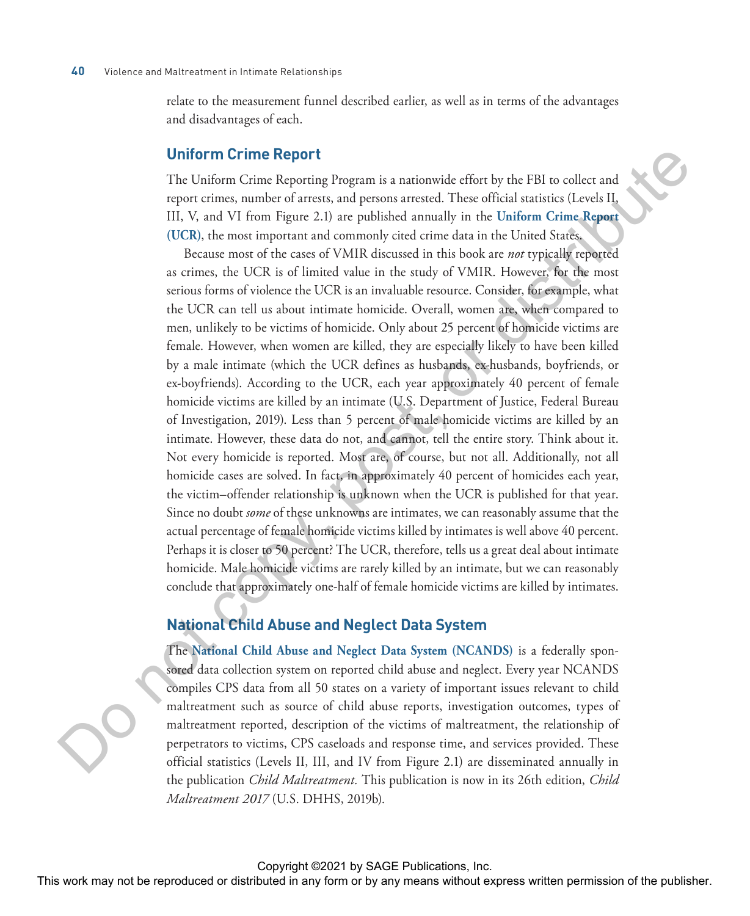relate to the measurement funnel described earlier, as well as in terms of the advantages and disadvantages of each.

#### **Uniform Crime Report**

The Uniform Crime Reporting Program is a nationwide effort by the FBI to collect and report crimes, number of arrests, and persons arrested. These official statistics (Levels II, III, V, and VI from Figure 2.1) are published annually in the **Uniform Crime Report (UCR)**, the most important and commonly cited crime data in the United States.

Because most of the cases of VMIR discussed in this book are *not* typically reported as crimes, the UCR is of limited value in the study of VMIR. However, for the most serious forms of violence the UCR is an invaluable resource. Consider, for example, what the UCR can tell us about intimate homicide. Overall, women are, when compared to men, unlikely to be victims of homicide. Only about 25 percent of homicide victims are female. However, when women are killed, they are especially likely to have been killed by a male intimate (which the UCR defines as husbands, ex-husbands, boyfriends, or ex-boyfriends). According to the UCR, each year approximately 40 percent of female homicide victims are killed by an intimate (U.S. Department of Justice, Federal Bureau of Investigation, 2019). Less than 5 percent of male homicide victims are killed by an intimate. However, these data do not, and cannot, tell the entire story. Think about it. Not every homicide is reported. Most are, of course, but not all. Additionally, not all homicide cases are solved. In fact, in approximately 40 percent of homicides each year, the victim–offender relationship is unknown when the UCR is published for that year. Since no doubt *some* of these unknowns are intimates, we can reasonably assume that the actual percentage of female homicide victims killed by intimates is well above 40 percent. Perhaps it is closer to 50 percent? The UCR, therefore, tells us a great deal about intimate homicide. Male homicide victims are rarely killed by an intimate, but we can reasonably conclude that approximately one-half of female homicide victims are killed by intimates. **Uniform Critics Reproduce To the reproduced or distributed in each publisher means when the reproduced in any form or by any means with the same of the same of the same of the same of the same of the same of the same of** 

# **National Child Abuse and Neglect Data System**

The **National Child Abuse and Neglect Data System (NCANDS)** is a federally sponsored data collection system on reported child abuse and neglect. Every year NCANDS compiles CPS data from all 50 states on a variety of important issues relevant to child maltreatment such as source of child abuse reports, investigation outcomes, types of maltreatment reported, description of the victims of maltreatment, the relationship of perpetrators to victims, CPS caseloads and response time, and services provided. These official statistics (Levels II, III, and IV from Figure 2.1) are disseminated annually in the publication *Child Maltreatment.* This publication is now in its 26th edition, *Child Maltreatment 2017* (U.S. DHHS, 2019b).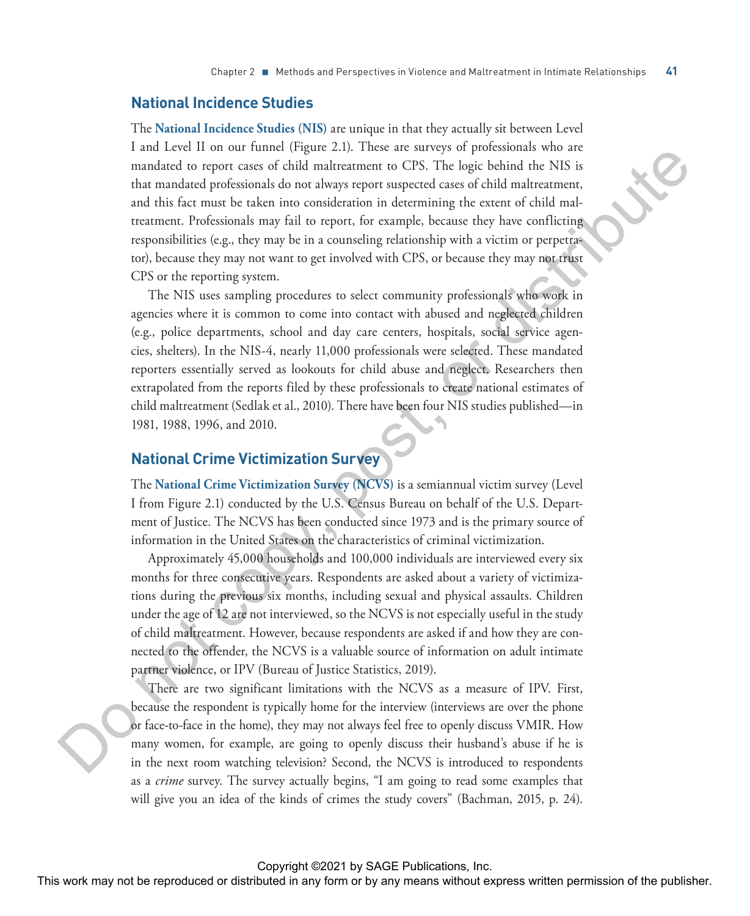### **National Incidence Studies**

The **National Incidence Studies (NIS)** are unique in that they actually sit between Level I and Level II on our funnel (Figure 2.1). These are surveys of professionals who are mandated to report cases of child maltreatment to CPS. The logic behind the NIS is that mandated professionals do not always report suspected cases of child maltreatment, and this fact must be taken into consideration in determining the extent of child maltreatment. Professionals may fail to report, for example, because they have conflicting responsibilities (e.g., they may be in a counseling relationship with a victim or perpetrator), because they may not want to get involved with CPS, or because they may not trust CPS or the reporting system.

The NIS uses sampling procedures to select community professionals who work in agencies where it is common to come into contact with abused and neglected children (e.g., police departments, school and day care centers, hospitals, social service agencies, shelters). In the NIS-4, nearly 11,000 professionals were selected. These mandated reporters essentially served as lookouts for child abuse and neglect. Researchers then extrapolated from the reports filed by these professionals to create national estimates of child maltreatment (Sedlak et al., 2010). There have been four NIS studies published—in 1981, 1988, 1996, and 2010. The matrix or two controls we represent the results of the results and the results of the results of the results of the results of the results of the results of the results of the results of the publisher. The controls we

# **National Crime Victimization Survey**

The **National Crime Victimization Survey (NCVS)** is a semiannual victim survey (Level I from Figure 2.1) conducted by the U.S. Census Bureau on behalf of the U.S. Department of Justice. The NCVS has been conducted since 1973 and is the primary source of information in the United States on the characteristics of criminal victimization.

Approximately 45,000 households and 100,000 individuals are interviewed every six months for three consecutive years. Respondents are asked about a variety of victimizations during the previous six months, including sexual and physical assaults. Children under the age of 12 are not interviewed, so the NCVS is not especially useful in the study of child maltreatment. However, because respondents are asked if and how they are connected to the offender, the NCVS is a valuable source of information on adult intimate partner violence, or IPV (Bureau of Justice Statistics, 2019).

There are two significant limitations with the NCVS as a measure of IPV. First, because the respondent is typically home for the interview (interviews are over the phone or face-to-face in the home), they may not always feel free to openly discuss VMIR. How many women, for example, are going to openly discuss their husband's abuse if he is in the next room watching television? Second, the NCVS is introduced to respondents as a *crime* survey. The survey actually begins, "I am going to read some examples that will give you an idea of the kinds of crimes the study covers" (Bachman, 2015, p. 24).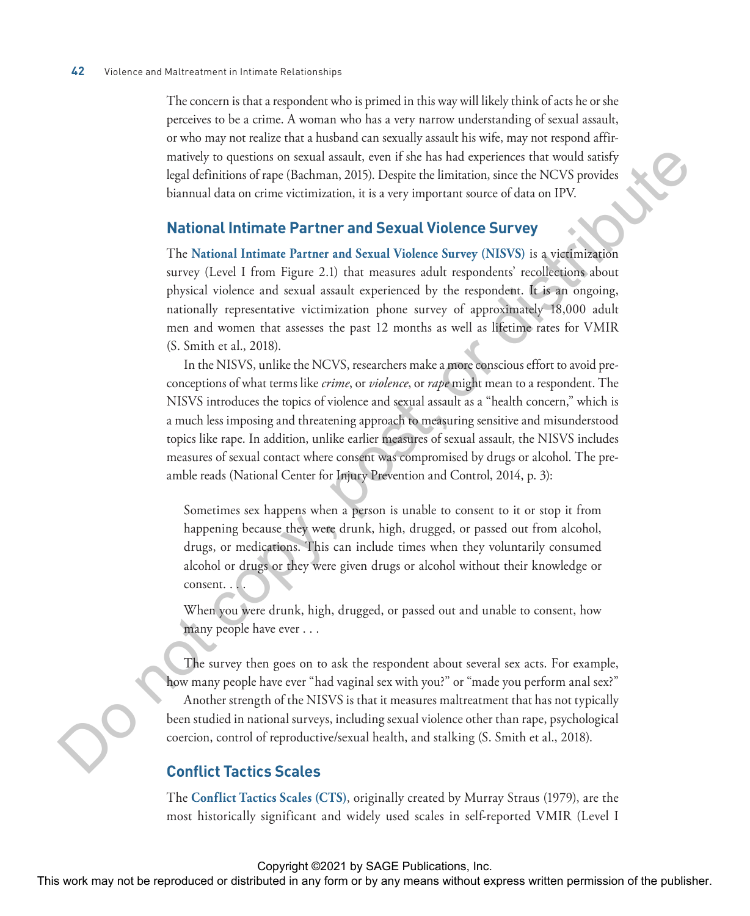The concern is that a respondent who is primed in this way will likely think of acts he or she perceives to be a crime. A woman who has a very narrow understanding of sexual assault, or who may not realize that a husband can sexually assault his wife, may not respond affirmatively to questions on sexual assault, even if she has had experiences that would satisfy legal definitions of rape (Bachman, 2015). Despite the limitation, since the NCVS provides biannual data on crime victimization, it is a very important source of data on IPV.

## **National Intimate Partner and Sexual Violence Survey**

The **National Intimate Partner and Sexual Violence Survey (NISVS)** is a victimization survey (Level I from Figure 2.1) that measures adult respondents' recollections about physical violence and sexual assault experienced by the respondent. It is an ongoing, nationally representative victimization phone survey of approximately 18,000 adult men and women that assesses the past 12 months as well as lifetime rates for VMIR (S. Smith et al., 2018).

In the NISVS, unlike the NCVS, researchers make a more conscious effort to avoid preconceptions of what terms like *crime*, or *violence*, or *rape* might mean to a respondent. The NISVS introduces the topics of violence and sexual assault as a "health concern," which is a much less imposing and threatening approach to measuring sensitive and misunderstood topics like rape. In addition, unlike earlier measures of sexual assault, the NISVS includes measures of sexual contact where consent was compromised by drugs or alcohol. The preamble reads (National Center for Injury Prevention and Control, 2014, p. 3): The most may not be reproduced or distributed in any form or by any interaction or the representation or distribution in any means with the particular state of the sympatric state of the sympatric state of the sympatric s

Sometimes sex happens when a person is unable to consent to it or stop it from happening because they were drunk, high, drugged, or passed out from alcohol, drugs, or medications. This can include times when they voluntarily consumed alcohol or drugs or they were given drugs or alcohol without their knowledge or consent. . .

When you were drunk, high, drugged, or passed out and unable to consent, how many people have ever . . .

The survey then goes on to ask the respondent about several sex acts. For example, how many people have ever "had vaginal sex with you?" or "made you perform anal sex?"

Another strength of the NISVS is that it measures maltreatment that has not typically been studied in national surveys, including sexual violence other than rape, psychological coercion, control of reproductive/sexual health, and stalking (S. Smith et al., 2018).

## **Conflict Tactics Scales**

The **Conflict Tactics Scales (CTS)**, originally created by Murray Straus (1979), are the most historically significant and widely used scales in self-reported VMIR (Level I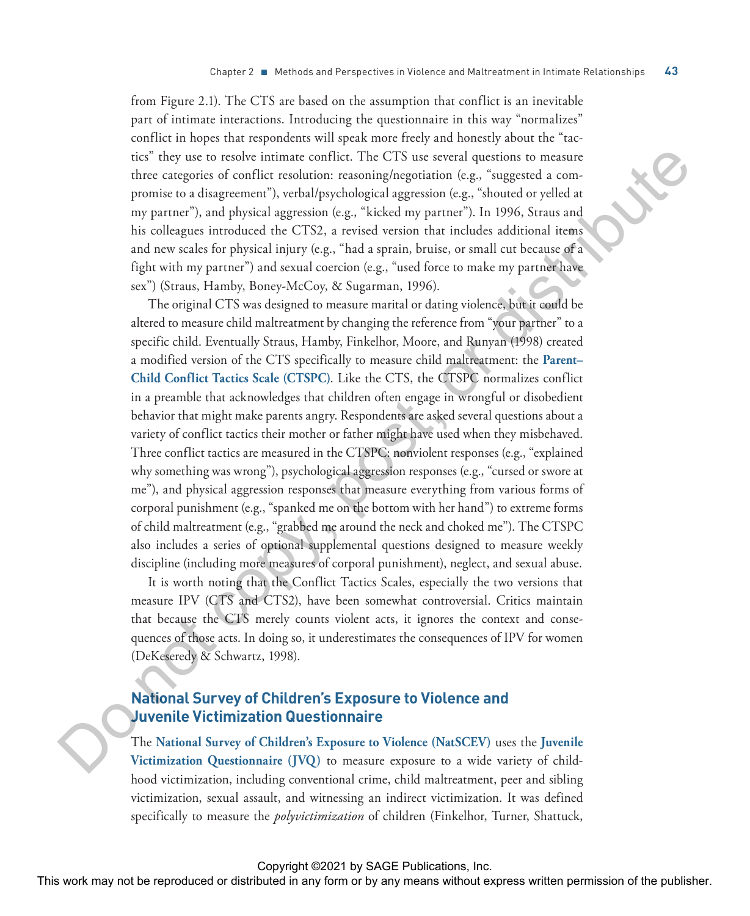from Figure 2.1). The CTS are based on the assumption that conflict is an inevitable part of intimate interactions. Introducing the questionnaire in this way "normalizes" conflict in hopes that respondents will speak more freely and honestly about the "tactics" they use to resolve intimate conflict. The CTS use several questions to measure three categories of conflict resolution: reasoning/negotiation (e.g., "suggested a compromise to a disagreement"), verbal/psychological aggression (e.g., "shouted or yelled at my partner"), and physical aggression (e.g., "kicked my partner"). In 1996, Straus and his colleagues introduced the CTS2, a revised version that includes additional items and new scales for physical injury (e.g., "had a sprain, bruise, or small cut because of a fight with my partner") and sexual coercion (e.g., "used force to make my partner have sex") (Straus, Hamby, Boney-McCoy, & Sugarman, 1996).

The original CTS was designed to measure marital or dating violence, but it could be altered to measure child maltreatment by changing the reference from "your partner" to a specific child. Eventually Straus, Hamby, Finkelhor, Moore, and Runyan (1998) created a modified version of the CTS specifically to measure child maltreatment: the **Parent– Child Conflict Tactics Scale (CTSPC)**. Like the CTS, the CTSPC normalizes conflict in a preamble that acknowledges that children often engage in wrongful or disobedient behavior that might make parents angry. Respondents are asked several questions about a variety of conflict tactics their mother or father might have used when they misbehaved. Three conflict tactics are measured in the CTSPC: nonviolent responses (e.g., "explained why something was wrong"), psychological aggression responses (e.g., "cursed or swore at me"), and physical aggression responses that measure everything from various forms of corporal punishment (e.g., "spanked me on the bottom with her hand") to extreme forms of child maltreatment (e.g., "grabbed me around the neck and choked me"). The CTSPC also includes a series of optional supplemental questions designed to measure weekly discipline (including more measures of corporal punishment), neglect, and sexual abuse. The computer interaction of the CTS was exertain percentation or the rest or distributed in a distributed in a distributed in any form or by a bound or yielded in a column or distributed in a comparison for a bound or sub

It is worth noting that the Conflict Tactics Scales, especially the two versions that measure IPV (CTS and CTS2), have been somewhat controversial. Critics maintain that because the CTS merely counts violent acts, it ignores the context and consequences of those acts. In doing so, it underestimates the consequences of IPV for women (DeKeseredy & Schwartz, 1998).

## **National Survey of Children's Exposure to Violence and Juvenile Victimization Questionnaire**

The **National Survey of Children's Exposure to Violence (NatSCEV)** uses the **Juvenile Victimization Questionnaire (JVQ)** to measure exposure to a wide variety of childhood victimization, including conventional crime, child maltreatment, peer and sibling victimization, sexual assault, and witnessing an indirect victimization. It was defined specifically to measure the *polyvictimization* of children (Finkelhor, Turner, Shattuck,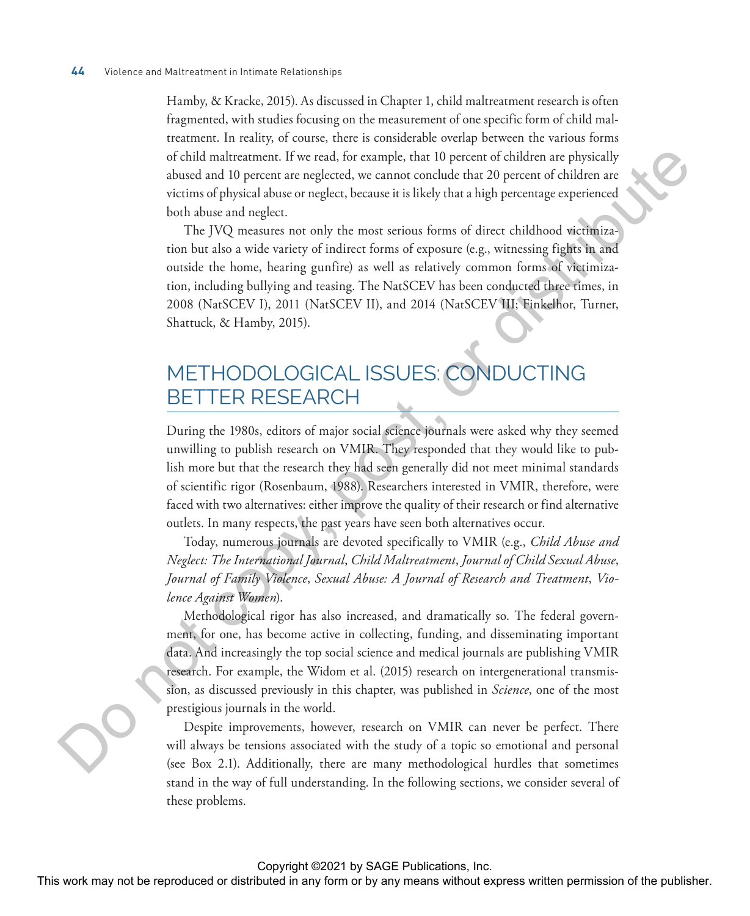Hamby, & Kracke, 2015). As discussed in Chapter 1, child maltreatment research is often fragmented, with studies focusing on the measurement of one specific form of child maltreatment. In reality, of course, there is considerable overlap between the various forms of child maltreatment. If we read, for example, that 10 percent of children are physically abused and 10 percent are neglected, we cannot conclude that 20 percent of children are victims of physical abuse or neglect, because it is likely that a high percentage experienced both abuse and neglect.

The JVQ measures not only the most serious forms of direct childhood victimization but also a wide variety of indirect forms of exposure (e.g., witnessing fights in and outside the home, hearing gunfire) as well as relatively common forms of victimization, including bullying and teasing. The NatSCEV has been conducted three times, in 2008 (NatSCEV I), 2011 (NatSCEV II), and 2014 (NatSCEV III; Finkelhor, Turner, Shattuck, & Hamby, 2015).

# METHODOLOGICAL ISSUES: CONDUCTING BETTER RESEARCH

During the 1980s, editors of major social science journals were asked why they seemed unwilling to publish research on VMIR. They responded that they would like to publish more but that the research they had seen generally did not meet minimal standards of scientific rigor (Rosenbaum, 1988). Researchers interested in VMIR, therefore, were faced with two alternatives: either improve the quality of their research or find alternative outlets. In many respects, the past years have seen both alternatives occur.

Today, numerous journals are devoted specifically to VMIR (e.g., *Child Abuse and Neglect: The International Journal*, *Child Maltreatment*, *Journal of Child Sexual Abuse*, *Journal of Family Violence*, *Sexual Abuse: A Journal of Research and Treatment*, *Violence Against Women*).

Methodological rigor has also increased, and dramatically so. The federal government, for one, has become active in collecting, funding, and disseminating important data. And increasingly the top social science and medical journals are publishing VMIR research. For example, the Widom et al. (2015) research on intergenerational transmission, as discussed previously in this chapter, was published in *Science*, one of the most prestigious journals in the world. or of the representation. The results for earting that it there are distributed by any form of the representation of the results are any form or by any means with the base and not express with the base means with the publ

Despite improvements, however, research on VMIR can never be perfect. There will always be tensions associated with the study of a topic so emotional and personal (see Box 2.1). Additionally, there are many methodological hurdles that sometimes stand in the way of full understanding. In the following sections, we consider several of these problems.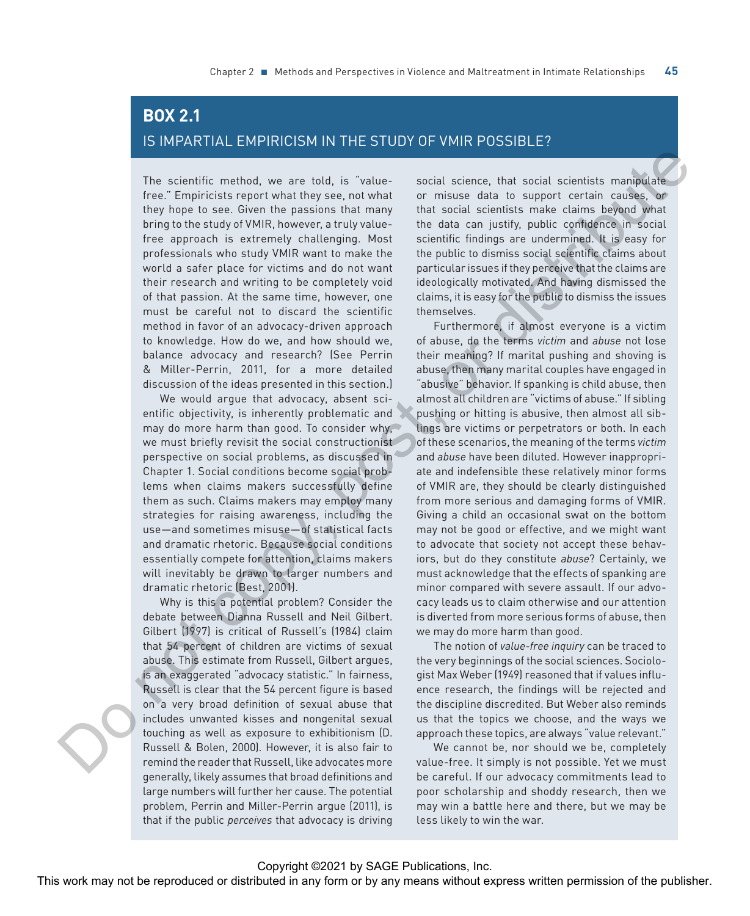# **BOX 2.1** IS IMPARTIAL EMPIRICISM IN THE STUDY OF VMIR POSSIBLE?

The scientific method, we are told, is "valuefree." Empiricists report what they see, not what they hope to see. Given the passions that many bring to the study of VMIR, however, a truly valuefree approach is extremely challenging. Most professionals who study VMIR want to make the world a safer place for victims and do not want their research and writing to be completely void of that passion. At the same time, however, one must be careful not to discard the scientific method in favor of an advocacy-driven approach to knowledge. How do we, and how should we, balance advocacy and research? (See Perrin & Miller-Perrin, 2011, for a more detailed discussion of the ideas presented in this section.)

We would argue that advocacy, absent scientific objectivity, is inherently problematic and may do more harm than good. To consider why, we must briefly revisit the social constructionist perspective on social problems, as discussed in Chapter 1. Social conditions become social problems when claims makers successfully define them as such. Claims makers may employ many strategies for raising awareness, including the use—and sometimes misuse—of statistical facts and dramatic rhetoric. Because social conditions essentially compete for attention, claims makers will inevitably be drawn to larger numbers and dramatic rhetoric (Best, 2001).

Why is this a potential problem? Consider the debate between Dianna Russell and Neil Gilbert. Gilbert (1997) is critical of Russell's (1984) claim that 54 percent of children are victims of sexual abuse. This estimate from Russell, Gilbert argues, is an exaggerated "advocacy statistic." In fairness, Russell is clear that the 54 percent figure is based on a very broad definition of sexual abuse that includes unwanted kisses and nongenital sexual touching as well as exposure to exhibitionism (D. Russell & Bolen, 2000). However, it is also fair to remind the reader that Russell, like advocates more generally, likely assumes that broad definitions and large numbers will further her cause. The potential problem, Perrin and Miller-Perrin argue (2011), is that if the public *perceives* that advocacy is driving

social science, that social scientists manipulate or misuse data to support certain causes, or that social scientists make claims beyond what the data can justify, public confidence in social scientific findings are undermined. It is easy for the public to dismiss social scientific claims about particular issues if they perceive that the claims are ideologically motivated. And having dismissed the claims, it is easy for the public to dismiss the issues themselves.

Furthermore, if almost everyone is a victim of abuse, do the terms *victim* and *abuse* not lose their meaning? If marital pushing and shoving is abuse, then many marital couples have engaged in "abusive" behavior. If spanking is child abuse, then almost all children are "victims of abuse." If sibling pushing or hitting is abusive, then almost all siblings are victims or perpetrators or both. In each of these scenarios, the meaning of the terms *victim* and *abuse* have been diluted. However inappropriate and indefensible these relatively minor forms of VMIR are, they should be clearly distinguished from more serious and damaging forms of VMIR. Giving a child an occasional swat on the bottom may not be good or effective, and we might want to advocate that society not accept these behaviors, but do they constitute *abuse*? Certainly, we must acknowledge that the effects of spanking are minor compared with severe assault. If our advocacy leads us to claim otherwise and our attention is diverted from more serious forms of abuse, then we may do more harm than good. The statestic method, we are talk in 'value. state statestic methods or distributed in any form or by any form or by any form or by any form or by any form or by any form or by any form or by any form or by any form or by

The notion of *value-free inquiry* can be traced to the very beginnings of the social sciences. Sociologist Max Weber (1949) reasoned that if values influence research, the findings will be rejected and the discipline discredited. But Weber also reminds us that the topics we choose, and the ways we approach these topics, are always "value relevant."

We cannot be, nor should we be, completely value-free. It simply is not possible. Yet we must be careful. If our advocacy commitments lead to poor scholarship and shoddy research, then we may win a battle here and there, but we may be less likely to win the war.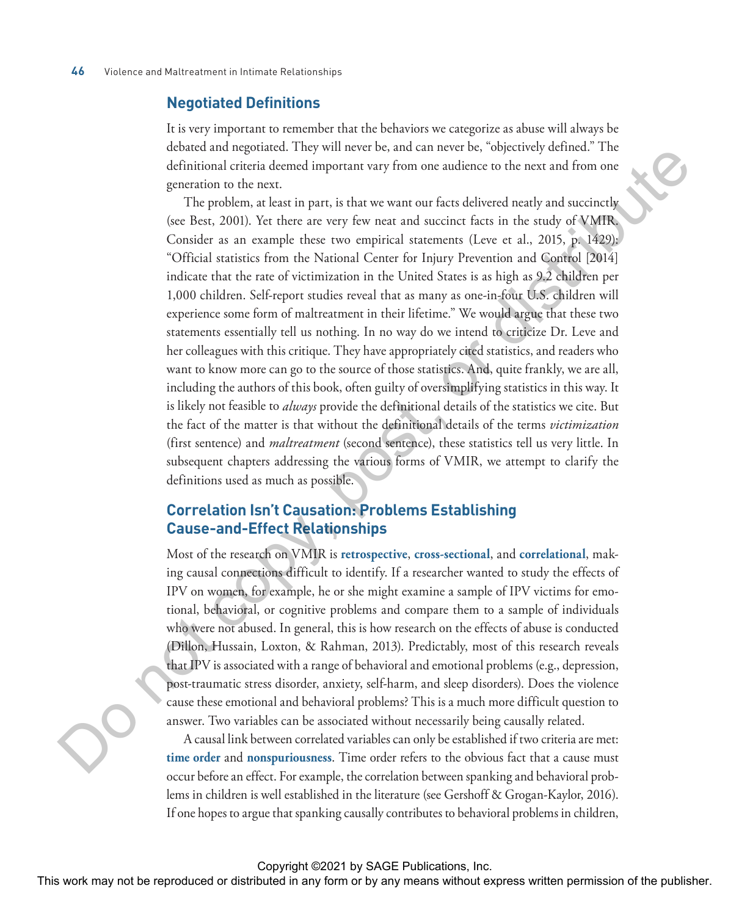### **Negotiated Definitions**

It is very important to remember that the behaviors we categorize as abuse will always be debated and negotiated. They will never be, and can never be, "objectively defined." The definitional criteria deemed important vary from one audience to the next and from one generation to the next.

The problem, at least in part, is that we want our facts delivered neatly and succinctly (see Best, 2001). Yet there are very few neat and succinct facts in the study of VMIR. Consider as an example these two empirical statements (Leve et al., 2015, p. 1429): "Official statistics from the National Center for Injury Prevention and Control [2014] indicate that the rate of victimization in the United States is as high as 9.2 children per 1,000 children. Self-report studies reveal that as many as one-in-four U.S. children will experience some form of maltreatment in their lifetime." We would argue that these two statements essentially tell us nothing. In no way do we intend to criticize Dr. Leve and her colleagues with this critique. They have appropriately cited statistics, and readers who want to know more can go to the source of those statistics. And, quite frankly, we are all, including the authors of this book, often guilty of oversimplifying statistics in this way. It is likely not feasible to *always* provide the definitional details of the statistics we cite. But the fact of the matter is that without the definitional details of the terms *victimization* (first sentence) and *maltreatment* (second sentence), these statistics tell us very little. In subsequent chapters addressing the various forms of VMIR, we attempt to clarify the definitions used as much as possible. The control or the result of the result of the result of the results of the system or the results of the results of the results of the results of the results of the results of the results of the results of the results of

# **Correlation Isn't Causation: Problems Establishing Cause-and-Effect Relationships**

Most of the research on VMIR is **retrospective**, **cross-sectional**, and **correlational**, making causal connections difficult to identify. If a researcher wanted to study the effects of IPV on women, for example, he or she might examine a sample of IPV victims for emotional, behavioral, or cognitive problems and compare them to a sample of individuals who were not abused. In general, this is how research on the effects of abuse is conducted (Dillon, Hussain, Loxton, & Rahman, 2013). Predictably, most of this research reveals that IPV is associated with a range of behavioral and emotional problems (e.g., depression, post-traumatic stress disorder, anxiety, self-harm, and sleep disorders). Does the violence cause these emotional and behavioral problems? This is a much more difficult question to answer. Two variables can be associated without necessarily being causally related.

A causal link between correlated variables can only be established if two criteria are met: **time order** and **nonspuriousness**. Time order refers to the obvious fact that a cause must occur before an effect. For example, the correlation between spanking and behavioral problems in children is well established in the literature (see Gershoff & Grogan-Kaylor, 2016). If one hopes to argue that spanking causally contributes to behavioral problems in children,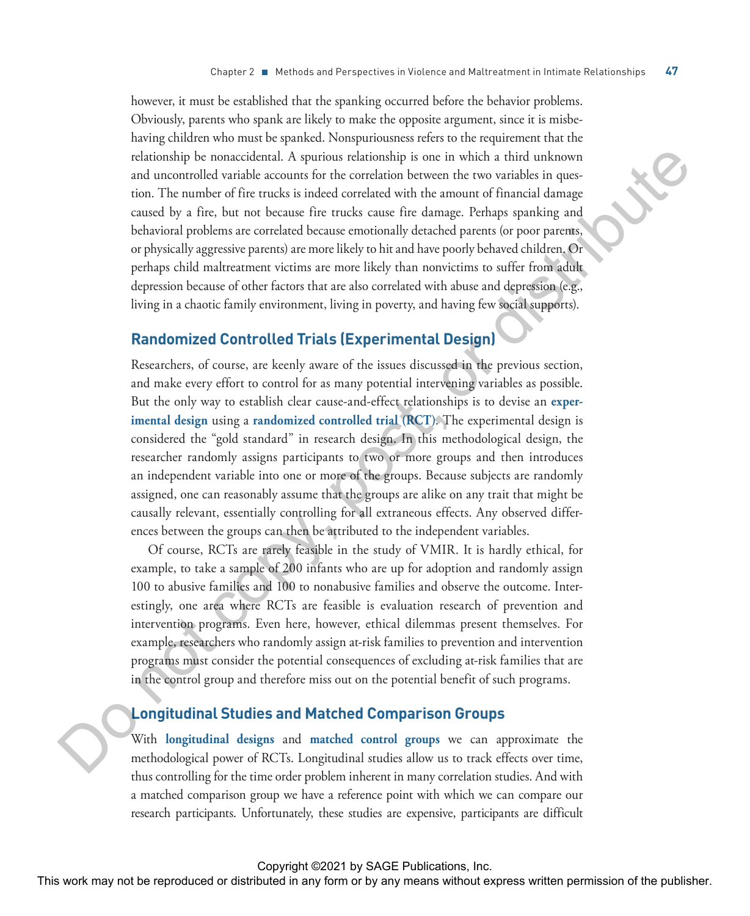however, it must be established that the spanking occurred before the behavior problems. Obviously, parents who spank are likely to make the opposite argument, since it is misbehaving children who must be spanked. Nonspuriousness refers to the requirement that the relationship be nonaccidental. A spurious relationship is one in which a third unknown and uncontrolled variable accounts for the correlation between the two variables in question. The number of fire trucks is indeed correlated with the amount of financial damage caused by a fire, but not because fire trucks cause fire damage. Perhaps spanking and behavioral problems are correlated because emotionally detached parents (or poor parents, or physically aggressive parents) are more likely to hit and have poorly behaved children. Or perhaps child maltreatment victims are more likely than nonvictims to suffer from adult depression because of other factors that are also correlated with abuse and depression (e.g., living in a chaotic family environment, living in poverty, and having few social supports).

# **Randomized Controlled Trials (Experimental Design)**

Researchers, of course, are keenly aware of the issues discussed in the previous section, and make every effort to control for as many potential intervening variables as possible. But the only way to establish clear cause-and-effect relationships is to devise an **experimental design** using a **randomized controlled trial (RCT)**. The experimental design is considered the "gold standard" in research design. In this methodological design, the researcher randomly assigns participants to two or more groups and then introduces an independent variable into one or more of the groups. Because subjects are randomly assigned, one can reasonably assume that the groups are alike on any trait that might be causally relevant, essentially controlling for all extraneous effects. Any observed differences between the groups can then be attributed to the independent variables. Notice that the representation of A spatiality is the relativity the results at the results of the results and the results are a spatial or the results are a spatial or the relationship of the results are a spatial or the

Of course, RCTs are rarely feasible in the study of VMIR. It is hardly ethical, for example, to take a sample of 200 infants who are up for adoption and randomly assign 100 to abusive families and 100 to nonabusive families and observe the outcome. Interestingly, one area where RCTs are feasible is evaluation research of prevention and intervention programs. Even here, however, ethical dilemmas present themselves. For example, researchers who randomly assign at-risk families to prevention and intervention programs must consider the potential consequences of excluding at-risk families that are in the control group and therefore miss out on the potential benefit of such programs.

## **Longitudinal Studies and Matched Comparison Groups**

With **longitudinal designs** and **matched control groups** we can approximate the methodological power of RCTs. Longitudinal studies allow us to track effects over time, thus controlling for the time order problem inherent in many correlation studies. And with a matched comparison group we have a reference point with which we can compare our research participants. Unfortunately, these studies are expensive, participants are difficult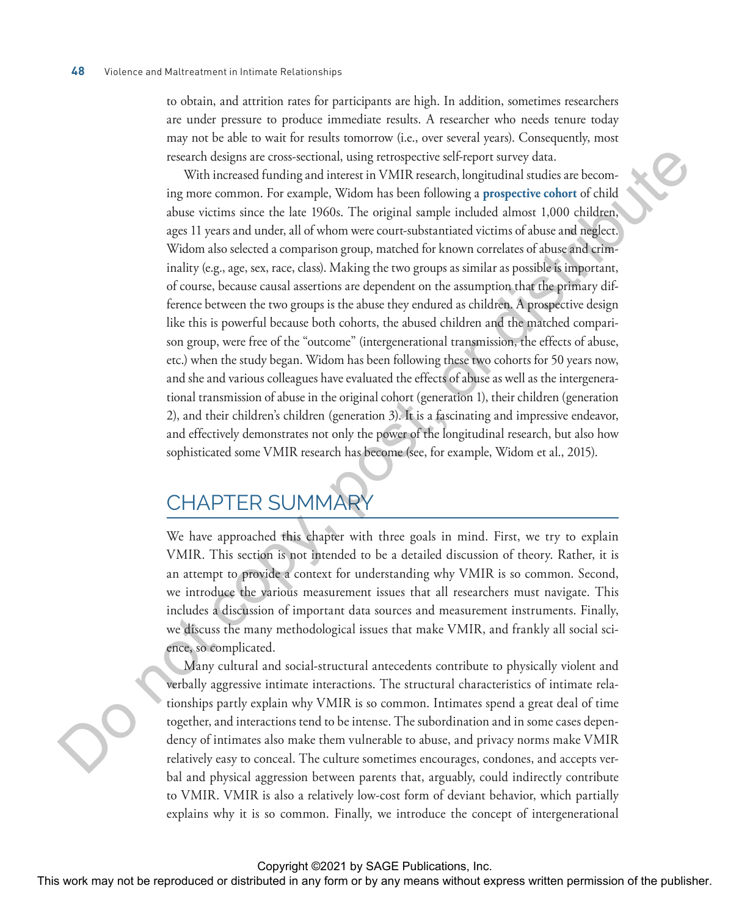to obtain, and attrition rates for participants are high. In addition, sometimes researchers are under pressure to produce immediate results. A researcher who needs tenure today may not be able to wait for results tomorrow (i.e., over several years). Consequently, most research designs are cross-sectional, using retrospective self-report survey data.

With increased funding and interest in VMIR research, longitudinal studies are becoming more common. For example, Widom has been following a **prospective cohort** of child abuse victims since the late 1960s. The original sample included almost 1,000 children, ages 11 years and under, all of whom were court-substantiated victims of abuse and neglect. Widom also selected a comparison group, matched for known correlates of abuse and criminality (e.g., age, sex, race, class). Making the two groups as similar as possible is important, of course, because causal assertions are dependent on the assumption that the primary difference between the two groups is the abuse they endured as children. A prospective design like this is powerful because both cohorts, the abused children and the matched comparison group, were free of the "outcome" (intergenerational transmission, the effects of abuse, etc.) when the study began. Widom has been following these two cohorts for 50 years now, and she and various colleagues have evaluated the effects of abuse as well as the intergenerational transmission of abuse in the original cohort (generation 1), their children (generation 2), and their children's children (generation 3). It is a fascinating and impressive endeavor, and effectively demonstrates not only the power of the longitudinal research, but also how sophisticated some VMIR research has become (see, for example, Widom et al., 2015). meants dome between the repression of the rest may then any form or by any means when the reproduced or the resume or by any means when the resume of the resume of the publisher. However, the means were related to the res

# CHAPTER SUMMARY

We have approached this chapter with three goals in mind. First, we try to explain VMIR. This section is not intended to be a detailed discussion of theory. Rather, it is an attempt to provide a context for understanding why VMIR is so common. Second, we introduce the various measurement issues that all researchers must navigate. This includes a discussion of important data sources and measurement instruments. Finally, we discuss the many methodological issues that make VMIR, and frankly all social science, so complicated.

Many cultural and social-structural antecedents contribute to physically violent and verbally aggressive intimate interactions. The structural characteristics of intimate relationships partly explain why VMIR is so common. Intimates spend a great deal of time together, and interactions tend to be intense. The subordination and in some cases dependency of intimates also make them vulnerable to abuse, and privacy norms make VMIR relatively easy to conceal. The culture sometimes encourages, condones, and accepts verbal and physical aggression between parents that, arguably, could indirectly contribute to VMIR. VMIR is also a relatively low-cost form of deviant behavior, which partially explains why it is so common. Finally, we introduce the concept of intergenerational